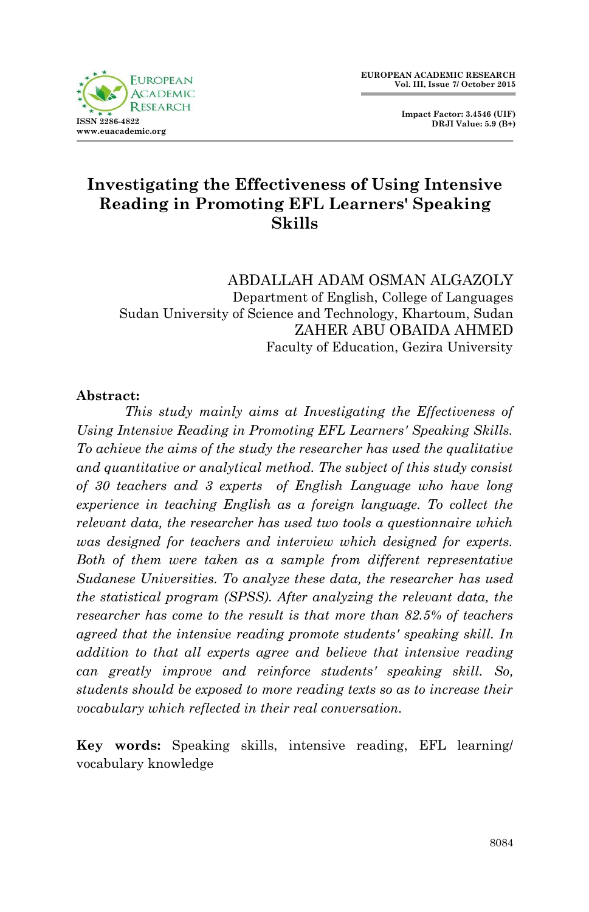

 **Impact Factor: 3.4546 (UIF) DRJI Value: 5.9 (B+)**

# **Investigating the Effectiveness of Using Intensive Reading in Promoting EFL Learners' Speaking Skills**

ABDALLAH ADAM OSMAN ALGAZOLY Department of English, College of Languages Sudan University of Science and Technology, Khartoum, Sudan ZAHER ABU OBAIDA AHMED Faculty of Education, Gezira University

#### **Abstract:**

*This study mainly aims at Investigating the Effectiveness of Using Intensive Reading in Promoting EFL Learners' Speaking Skills. To achieve the aims of the study the researcher has used the qualitative and quantitative or analytical method. The subject of this study consist of 30 teachers and 3 experts of English Language who have long experience in teaching English as a foreign language. To collect the relevant data, the researcher has used two tools a questionnaire which was designed for teachers and interview which designed for experts. Both of them were taken as a sample from different representative Sudanese Universities. To analyze these data, the researcher has used the statistical program (SPSS). After analyzing the relevant data, the researcher has come to the result is that more than 82.5% of teachers agreed that the intensive reading promote students' speaking skill. In addition to that all experts agree and believe that intensive reading can greatly improve and reinforce students' speaking skill. So, students should be exposed to more reading texts so as to increase their vocabulary which reflected in their real conversation.* 

**Key words:** Speaking skills, intensive reading, EFL learning/ vocabulary knowledge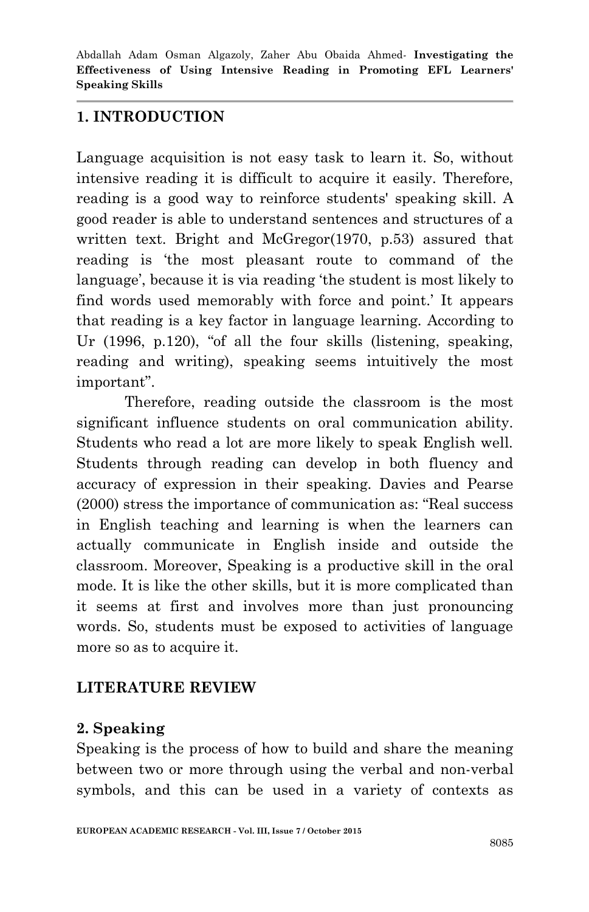## **1. INTRODUCTION**

Language acquisition is not easy task to learn it. So, without intensive reading it is difficult to acquire it easily. Therefore, reading is a good way to reinforce students' speaking skill. A good reader is able to understand sentences and structures of a written text. Bright and McGregor(1970, p.53) assured that reading is "the most pleasant route to command of the language', because it is via reading 'the student is most likely to find words used memorably with force and point." It appears that reading is a key factor in language learning. According to Ur (1996, p.120), "of all the four skills (listening, speaking, reading and writing), speaking seems intuitively the most important".

Therefore, reading outside the classroom is the most significant influence students on oral communication ability. Students who read a lot are more likely to speak English well. Students through reading can develop in both fluency and accuracy of expression in their speaking. Davies and Pearse (2000) stress the importance of communication as: "Real success in English teaching and learning is when the learners can actually communicate in English inside and outside the classroom. Moreover, Speaking is a productive skill in the oral mode. It is like the other skills, but it is more complicated than it seems at first and involves more than just pronouncing words. So, students must be exposed to activities of language more so as to acquire it.

## **LITERATURE REVIEW**

### **2. Speaking**

Speaking is the process of how to build and share the meaning between two or more through using the verbal and non-verbal symbols, and this can be used in a variety of contexts as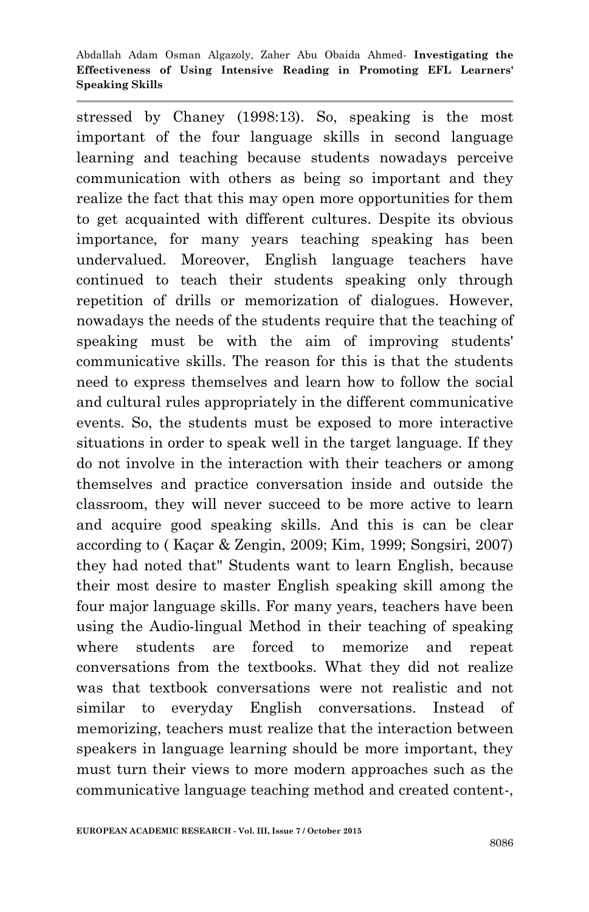stressed by Chaney (1998:13). So, speaking is the most important of the four language skills in second language learning and teaching because students nowadays perceive communication with others as being so important and they realize the fact that this may open more opportunities for them to get acquainted with different cultures. Despite its obvious importance, for many years teaching speaking has been undervalued. Moreover, English language teachers have continued to teach their students speaking only through repetition of drills or memorization of dialogues. However, nowadays the needs of the students require that the teaching of speaking must be with the aim of improving students' communicative skills. The reason for this is that the students need to express themselves and learn how to follow the social and cultural rules appropriately in the different communicative events. So, the students must be exposed to more interactive situations in order to speak well in the target language. If they do not involve in the interaction with their teachers or among themselves and practice conversation inside and outside the classroom, they will never succeed to be more active to learn and acquire good speaking skills. And this is can be clear according to ( Kaçar & Zengin, 2009; Kim, 1999; Songsiri, 2007) they had noted that" Students want to learn English, because their most desire to master English speaking skill among the four major language skills. For many years, teachers have been using the Audio-lingual Method in their teaching of speaking where students are forced to memorize and repeat conversations from the textbooks. What they did not realize was that textbook conversations were not realistic and not similar to everyday English conversations. Instead of memorizing, teachers must realize that the interaction between speakers in language learning should be more important, they must turn their views to more modern approaches such as the communicative language teaching method and created content-,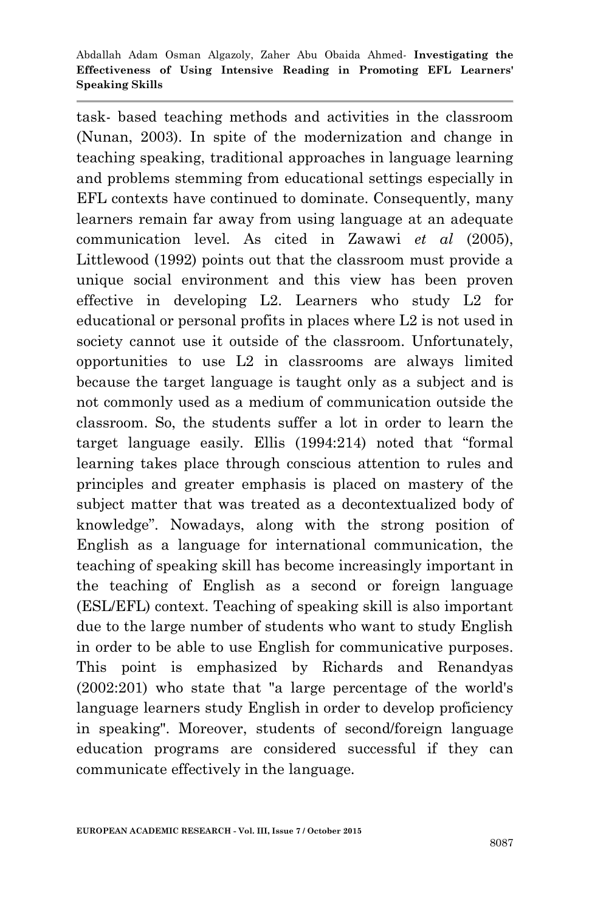task- based teaching methods and activities in the classroom (Nunan, 2003). In spite of the modernization and change in teaching speaking, traditional approaches in language learning and problems stemming from educational settings especially in EFL contexts have continued to dominate. Consequently, many learners remain far away from using language at an adequate communication level. As cited in Zawawi *et al* (2005), Littlewood (1992) points out that the classroom must provide a unique social environment and this view has been proven effective in developing L2. Learners who study L2 for educational or personal profits in places where L2 is not used in society cannot use it outside of the classroom. Unfortunately, opportunities to use L2 in classrooms are always limited because the target language is taught only as a subject and is not commonly used as a medium of communication outside the classroom. So, the students suffer a lot in order to learn the target language easily. Ellis (1994:214) noted that "formal learning takes place through conscious attention to rules and principles and greater emphasis is placed on mastery of the subject matter that was treated as a decontextualized body of knowledge". Nowadays, along with the strong position of English as a language for international communication, the teaching of speaking skill has become increasingly important in the teaching of English as a second or foreign language (ESL/EFL) context. Teaching of speaking skill is also important due to the large number of students who want to study English in order to be able to use English for communicative purposes. This point is emphasized by Richards and Renandyas (2002:201) who state that "a large percentage of the world's language learners study English in order to develop proficiency in speaking". Moreover, students of second/foreign language education programs are considered successful if they can communicate effectively in the language.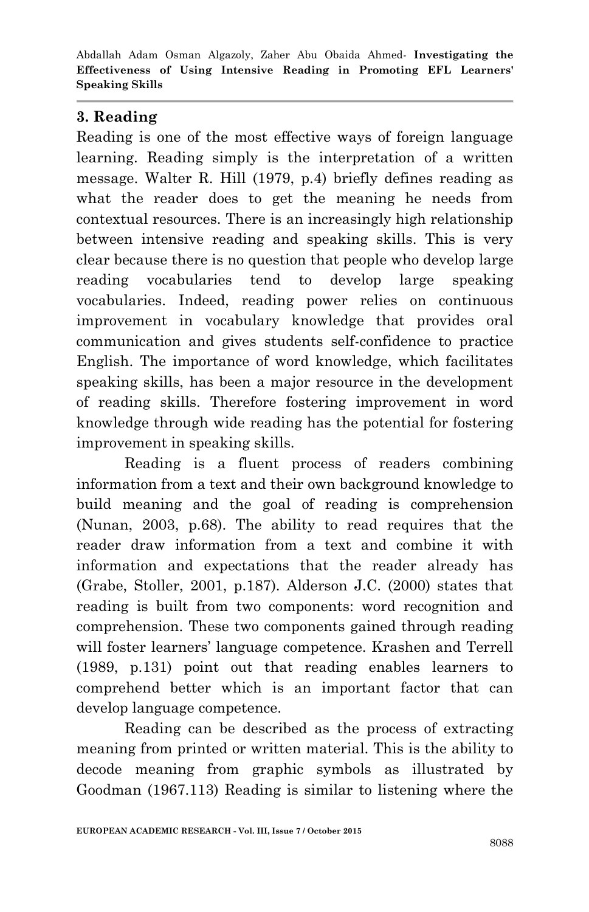## **3. Reading**

Reading is one of the most effective ways of foreign language learning. Reading simply is the interpretation of a written message. Walter R. Hill (1979, p.4) briefly defines reading as what the reader does to get the meaning he needs from contextual resources. There is an increasingly high relationship between intensive reading and speaking skills. This is very clear because there is no question that people who develop large reading vocabularies tend to develop large speaking vocabularies. Indeed, reading power relies on continuous improvement in vocabulary knowledge that provides oral communication and gives students self-confidence to practice English. The importance of word knowledge, which facilitates speaking skills, has been a major resource in the development of reading skills. Therefore fostering improvement in word knowledge through wide reading has the potential for fostering improvement in speaking skills.

Reading is a fluent process of readers combining information from a text and their own background knowledge to build meaning and the goal of reading is comprehension (Nunan, 2003, p.68). The ability to read requires that the reader draw information from a text and combine it with information and expectations that the reader already has (Grabe, Stoller, 2001, p.187). Alderson J.C. (2000) states that reading is built from two components: word recognition and comprehension. These two components gained through reading will foster learners' language competence. Krashen and Terrell (1989, p.131) point out that reading enables learners to comprehend better which is an important factor that can develop language competence.

Reading can be described as the process of extracting meaning from printed or written material. This is the ability to decode meaning from graphic symbols as illustrated by Goodman (1967.113) Reading is similar to listening where the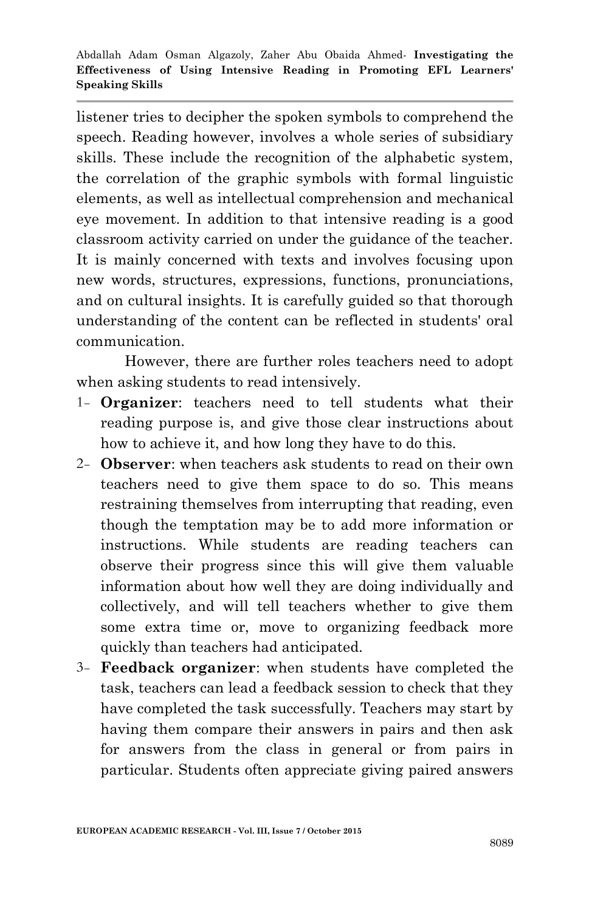listener tries to decipher the spoken symbols to comprehend the speech. Reading however, involves a whole series of subsidiary skills. These include the recognition of the alphabetic system, the correlation of the graphic symbols with formal linguistic elements, as well as intellectual comprehension and mechanical eye movement. In addition to that intensive reading is a good classroom activity carried on under the guidance of the teacher. It is mainly concerned with texts and involves focusing upon new words, structures, expressions, functions, pronunciations, and on cultural insights. It is carefully guided so that thorough understanding of the content can be reflected in students' oral communication.

However, there are further roles teachers need to adopt when asking students to read intensively.

- 1- **Organizer**: teachers need to tell students what their reading purpose is, and give those clear instructions about how to achieve it, and how long they have to do this.
- 2- **Observer**: when teachers ask students to read on their own teachers need to give them space to do so. This means restraining themselves from interrupting that reading, even though the temptation may be to add more information or instructions. While students are reading teachers can observe their progress since this will give them valuable information about how well they are doing individually and collectively, and will tell teachers whether to give them some extra time or, move to organizing feedback more quickly than teachers had anticipated.
- 3- **Feedback organizer**: when students have completed the task, teachers can lead a feedback session to check that they have completed the task successfully. Teachers may start by having them compare their answers in pairs and then ask for answers from the class in general or from pairs in particular. Students often appreciate giving paired answers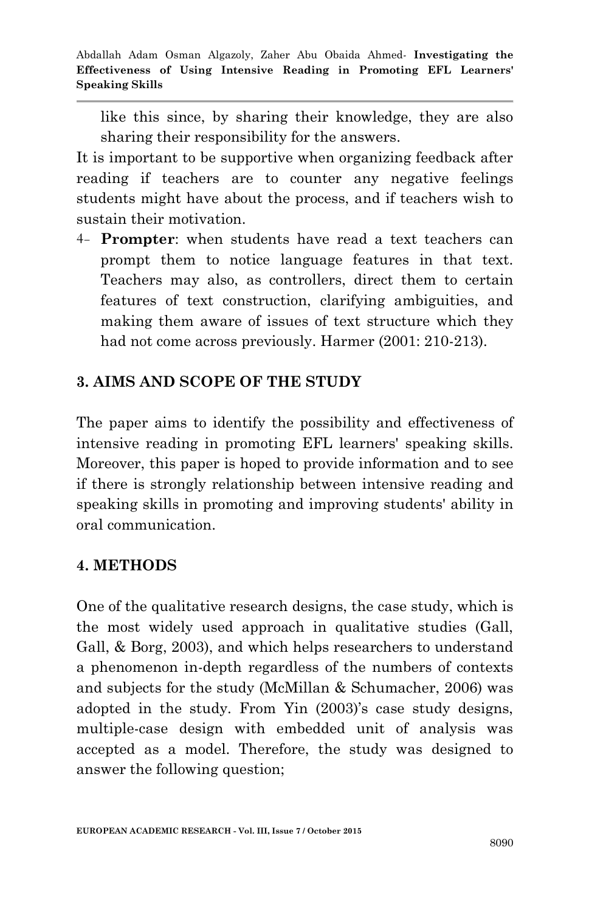like this since, by sharing their knowledge, they are also sharing their responsibility for the answers.

It is important to be supportive when organizing feedback after reading if teachers are to counter any negative feelings students might have about the process, and if teachers wish to sustain their motivation.

4- **Prompter**: when students have read a text teachers can prompt them to notice language features in that text. Teachers may also, as controllers, direct them to certain features of text construction, clarifying ambiguities, and making them aware of issues of text structure which they had not come across previously. Harmer (2001: 210-213).

# **3. AIMS AND SCOPE OF THE STUDY**

The paper aims to identify the possibility and effectiveness of intensive reading in promoting EFL learners' speaking skills. Moreover, this paper is hoped to provide information and to see if there is strongly relationship between intensive reading and speaking skills in promoting and improving students' ability in oral communication.

## **4. METHODS**

One of the qualitative research designs, the case study, which is the most widely used approach in qualitative studies (Gall, Gall, & Borg, 2003), and which helps researchers to understand a phenomenon in-depth regardless of the numbers of contexts and subjects for the study (McMillan & Schumacher, 2006) was adopted in the study. From Yin (2003)'s case study designs, multiple-case design with embedded unit of analysis was accepted as a model. Therefore, the study was designed to answer the following question;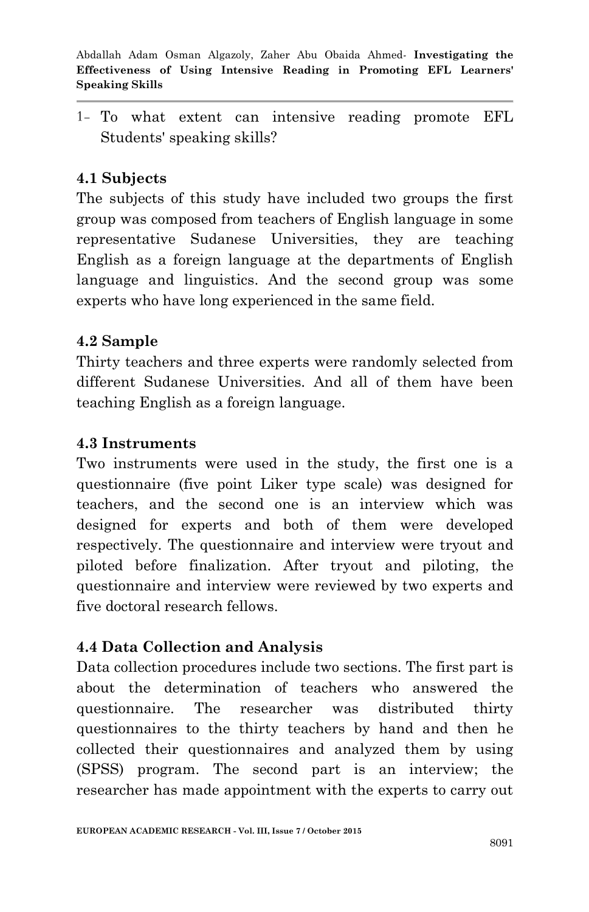1- To what extent can intensive reading promote EFL Students' speaking skills?

## **4.1 Subjects**

The subjects of this study have included two groups the first group was composed from teachers of English language in some representative Sudanese Universities, they are teaching English as a foreign language at the departments of English language and linguistics. And the second group was some experts who have long experienced in the same field.

### **4.2 Sample**

Thirty teachers and three experts were randomly selected from different Sudanese Universities. And all of them have been teaching English as a foreign language.

#### **4.3 Instruments**

Two instruments were used in the study, the first one is a questionnaire (five point Liker type scale) was designed for teachers, and the second one is an interview which was designed for experts and both of them were developed respectively. The questionnaire and interview were tryout and piloted before finalization. After tryout and piloting, the questionnaire and interview were reviewed by two experts and five doctoral research fellows.

### **4.4 Data Collection and Analysis**

Data collection procedures include two sections. The first part is about the determination of teachers who answered the questionnaire. The researcher was distributed thirty questionnaires to the thirty teachers by hand and then he collected their questionnaires and analyzed them by using (SPSS) program. The second part is an interview; the researcher has made appointment with the experts to carry out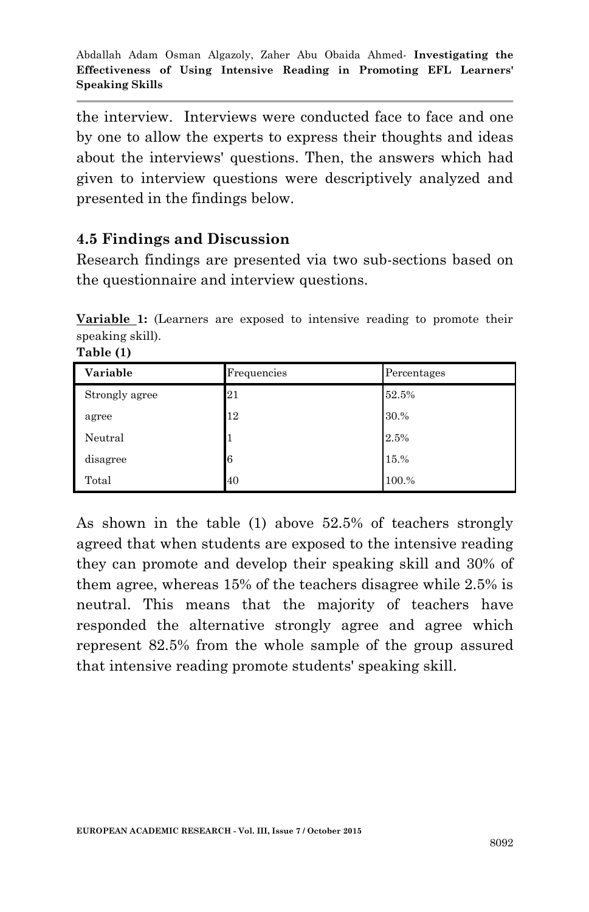the interview. Interviews were conducted face to face and one by one to allow the experts to express their thoughts and ideas about the interviews' questions. Then, the answers which had given to interview questions were descriptively analyzed and presented in the findings below.

## **4.5 Findings and Discussion**

**Table (1)**

Research findings are presented via two sub-sections based on the questionnaire and interview questions.

**Variable 1:** (Learners are exposed to intensive reading to promote their speaking skill).

| Variable       | Frequencies | Percentages |
|----------------|-------------|-------------|
| Strongly agree | 21          | 52.5%       |
| agree          | 12          | 30.%        |
| Neutral        |             | 2.5%        |
| disagree       | 6           | 15.%        |
| Total          | 40          | 100.%       |

As shown in the table (1) above 52.5% of teachers strongly agreed that when students are exposed to the intensive reading they can promote and develop their speaking skill and 30% of them agree, whereas 15% of the teachers disagree while 2.5% is neutral. This means that the majority of teachers have responded the alternative strongly agree and agree which represent 82.5% from the whole sample of the group assured that intensive reading promote students' speaking skill.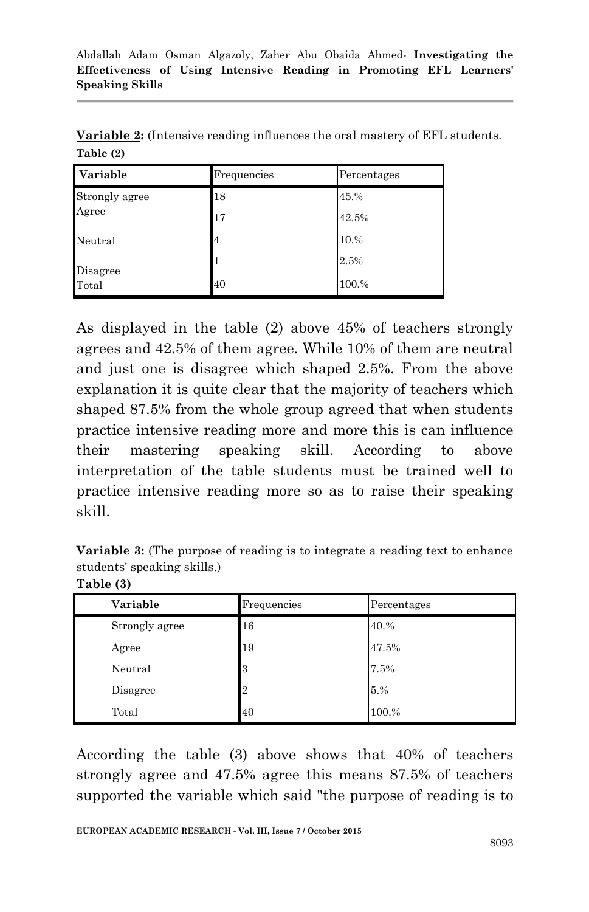| Variable          | Frequencies | Percentages |
|-------------------|-------------|-------------|
| Strongly agree    | 18          | 45.%        |
| Agree             | 17          | 42.5%       |
| Neutral           | 4           | 10.%        |
| Disagree<br>Total |             | 2.5%        |
|                   | 40          | 100.%       |

**Variable 2:** (Intensive reading influences the oral mastery of EFL students. **Table (2)**

As displayed in the table (2) above 45% of teachers strongly agrees and 42.5% of them agree. While 10% of them are neutral and just one is disagree which shaped 2.5%. From the above explanation it is quite clear that the majority of teachers which shaped 87.5% from the whole group agreed that when students practice intensive reading more and more this is can influence their mastering speaking skill. According to above interpretation of the table students must be trained well to practice intensive reading more so as to raise their speaking skill.

**Variable 3:** (The purpose of reading is to integrate a reading text to enhance students' speaking skills.)

| Table (3) |
|-----------|
|-----------|

| Variable       | Frequencies    | Percentages |
|----------------|----------------|-------------|
| Strongly agree | 16             | 40.%        |
| Agree          | 19             | 47.5%       |
| Neutral        | 3              | 7.5%        |
| Disagree       | $\overline{2}$ | 5.%         |
| Total          | 40             | 100.%       |

According the table (3) above shows that 40% of teachers strongly agree and 47.5% agree this means 87.5% of teachers supported the variable which said "the purpose of reading is to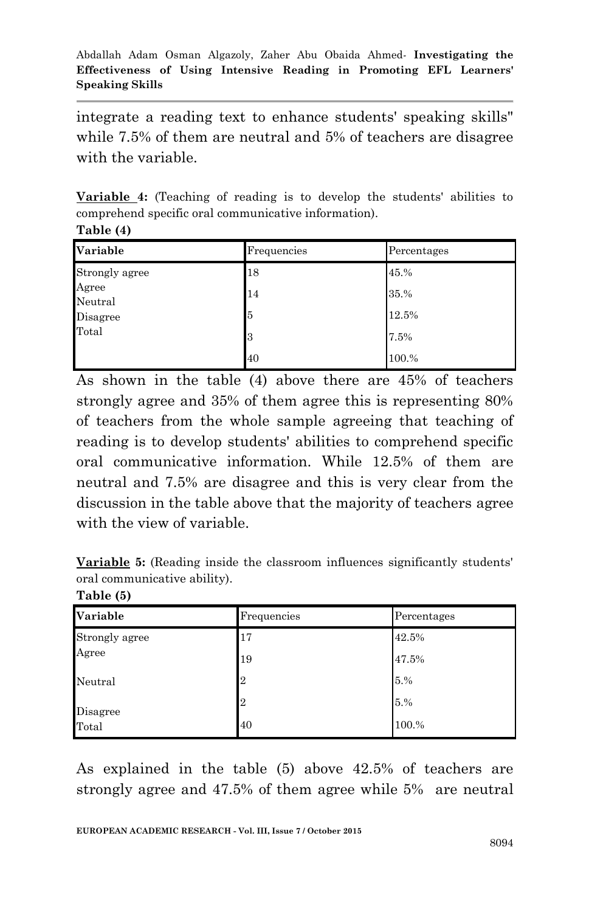integrate a reading text to enhance students' speaking skills" while 7.5% of them are neutral and 5% of teachers are disagree with the variable.

**Variable 4:** (Teaching of reading is to develop the students' abilities to comprehend specific oral communicative information). **Table (4)**

| Variable         | Frequencies | Percentages |
|------------------|-------------|-------------|
| Strongly agree   | 18          | 45.%        |
| Agree<br>Neutral | 14          | 35.%        |
| Disagree         | 5           | 12.5%       |
| Total            | 13          | 7.5%        |
|                  | 40          | 100.%       |

As shown in the table (4) above there are 45% of teachers strongly agree and 35% of them agree this is representing 80% of teachers from the whole sample agreeing that teaching of reading is to develop students' abilities to comprehend specific oral communicative information. While 12.5% of them are neutral and 7.5% are disagree and this is very clear from the discussion in the table above that the majority of teachers agree with the view of variable.

**Variable 5:** (Reading inside the classroom influences significantly students' oral communicative ability).

| Table (5) |  |
|-----------|--|
|-----------|--|

| Variable       | Frequencies    | Percentages |
|----------------|----------------|-------------|
| Strongly agree | 17             | 42.5%       |
| Agree          | 19             | 47.5%       |
| Neutral        | $\overline{2}$ | 5.%         |
| Disagree       | $\overline{2}$ | 5.%         |
| Total          | 40             | 100.%       |

As explained in the table (5) above 42.5% of teachers are strongly agree and 47.5% of them agree while 5% are neutral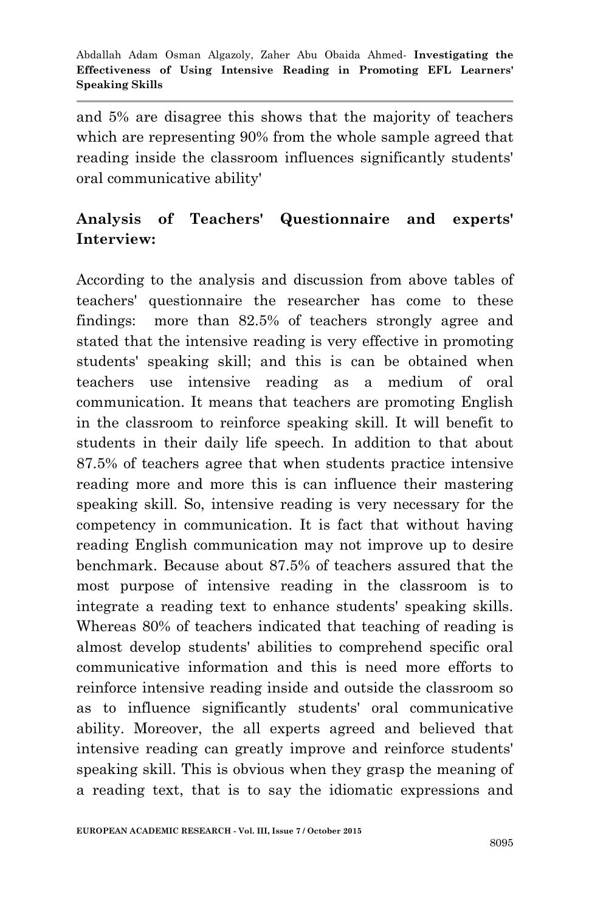and 5% are disagree this shows that the majority of teachers which are representing 90% from the whole sample agreed that reading inside the classroom influences significantly students' oral communicative ability'

# **Analysis of Teachers' Questionnaire and experts' Interview:**

According to the analysis and discussion from above tables of teachers' questionnaire the researcher has come to these findings: more than 82.5% of teachers strongly agree and stated that the intensive reading is very effective in promoting students' speaking skill; and this is can be obtained when teachers use intensive reading as a medium of oral communication. It means that teachers are promoting English in the classroom to reinforce speaking skill. It will benefit to students in their daily life speech. In addition to that about 87.5% of teachers agree that when students practice intensive reading more and more this is can influence their mastering speaking skill. So, intensive reading is very necessary for the competency in communication. It is fact that without having reading English communication may not improve up to desire benchmark. Because about 87.5% of teachers assured that the most purpose of intensive reading in the classroom is to integrate a reading text to enhance students' speaking skills. Whereas 80% of teachers indicated that teaching of reading is almost develop students' abilities to comprehend specific oral communicative information and this is need more efforts to reinforce intensive reading inside and outside the classroom so as to influence significantly students' oral communicative ability. Moreover, the all experts agreed and believed that intensive reading can greatly improve and reinforce students' speaking skill. This is obvious when they grasp the meaning of a reading text, that is to say the idiomatic expressions and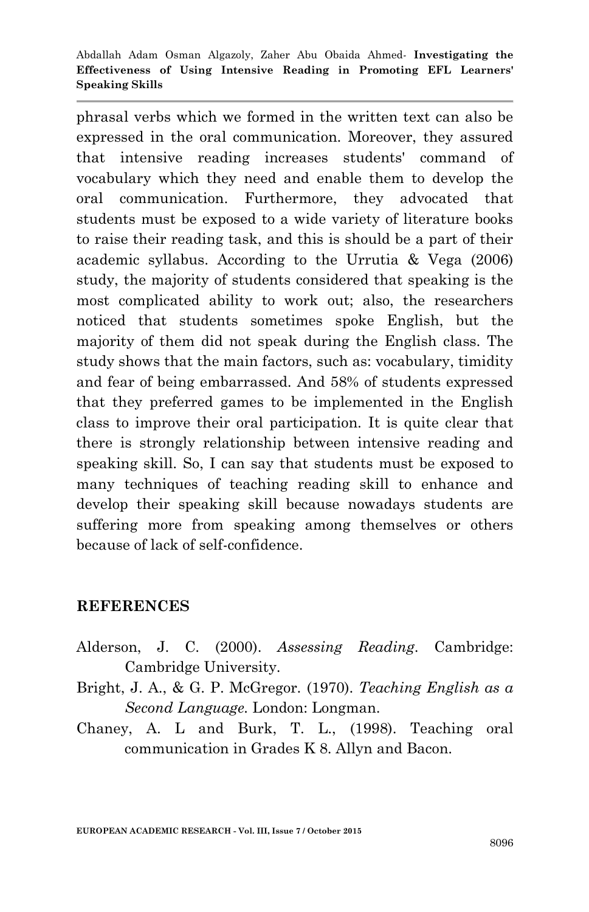phrasal verbs which we formed in the written text can also be expressed in the oral communication. Moreover, they assured that intensive reading increases students' command of vocabulary which they need and enable them to develop the oral communication. Furthermore, they advocated that students must be exposed to a wide variety of literature books to raise their reading task, and this is should be a part of their academic syllabus. According to the Urrutia & Vega (2006) study, the majority of students considered that speaking is the most complicated ability to work out; also, the researchers noticed that students sometimes spoke English, but the majority of them did not speak during the English class. The study shows that the main factors, such as: vocabulary, timidity and fear of being embarrassed. And 58% of students expressed that they preferred games to be implemented in the English class to improve their oral participation. It is quite clear that there is strongly relationship between intensive reading and speaking skill. So, I can say that students must be exposed to many techniques of teaching reading skill to enhance and develop their speaking skill because nowadays students are suffering more from speaking among themselves or others because of lack of self-confidence.

#### **REFERENCES**

- Alderson, J. C. (2000). *Assessing Reading*. Cambridge: Cambridge University.
- Bright, J. A., & G. P. McGregor. (1970). *Teaching English as a Second Language.* London: Longman.
- Chaney, A. L and Burk, T. L., (1998). Teaching oral communication in Grades K 8. Allyn and Bacon.